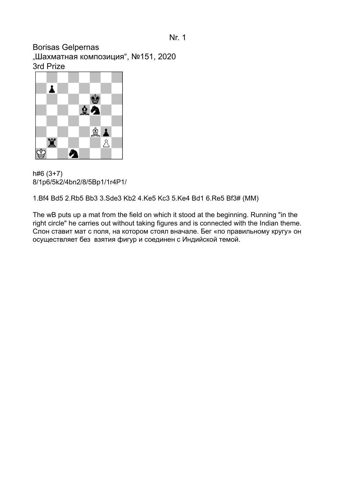Borisas Gelpernas "Шахматная композиция", №151, 2020 3rd Prize



h#6 (3+7) 8/1p6/5k2/4bn2/8/5Bp1/1r4P1/

1.Bf4 Bd5 2.Rb5 Bb3 3.Sde3 Kb2 4.Ke5 Kc3 5.Ke4 Bd1 6.Re5 Bf3# (MM)

The wB puts up a mat from the field on which it stood at the beginning. Running "in the right circle" he carries out without taking figures and is connected with the Indian theme. Слон ставит мат с поля, на котором стоял вначале. Бег «по правильному кругу» он осуществляет без взятия фигур и соединен с Индийской темой.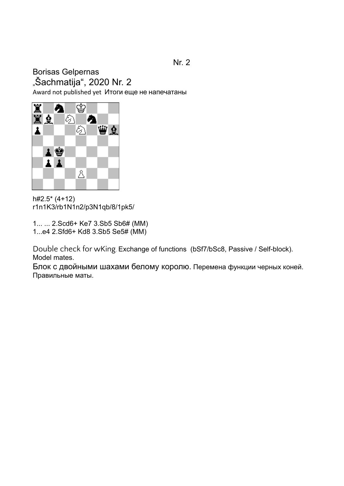#### Nr. 2

# Borisas Gelpernas "Šachmatija", 2020 Nr. 2

Award not published yet Итоги еще не напечатаны



h#2.5\* (4+12) r1n1K3/rb1N1n2/p3N1qb/8/1pk5/

1... ... 2.Scd6+ Ke7 3.Sb5 Sb6# (MM) 1...e4 2.Sfd6+ Kd8 3.Sb5 Se5# (MM)

Double check for wKing. Exchange of functions (bSf7/bSc8, Passive / Self-block). Model mates.

Блок с двойными шахами белому королю. Перемена функции черных коней. Правильные маты.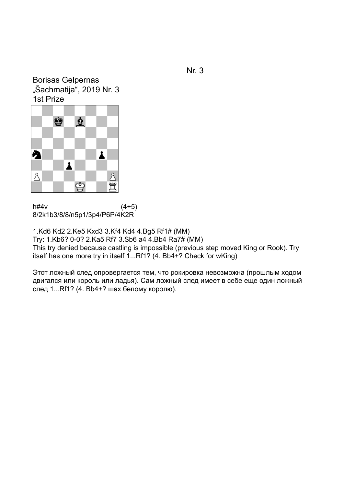Borisas Gelpernas "Šachmatija", 2019 Nr. 3 1st Prize



 $h#4v$  (4+5) 8/2k1b3/8/8/n5p1/3p4/P6P/4K2R

1.Kd6 Kd2 2.Ke5 Kxd3 3.Kf4 Kd4 4.Bg5 Rf1# (MM) Try: 1.Kb6? 0-0? 2.Ka5 Rf7 3.Sb6 a4 4.Bb4 Ra7# (MM) This try denied because castling is impossible (previous step moved King or Rook). Try itself has one more try in itself 1...Rf1? (4. Bb4+? Check for wKing)

Этот ложный след опровергается тем, что рокировка невозможна (прошлым ходом двигался или король или ладья). Сам ложный след имеет в себе еще один ложный след 1...Rf1? (4. Bb4+? шах белому королю).

Nr. 3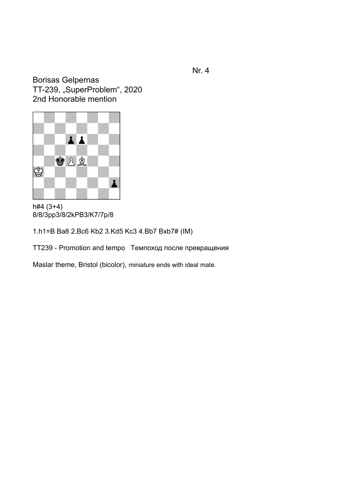Borisas Gelpernas TT-239, "SuperProblem", 2020 2nd Honorable mention



h#4 (3+4) 8/8/3pp3/8/2kPB3/K7/7p/8

1.h1=B Ba8 2.Bc6 Kb2 3.Kd5 Kc3 4.Bb7 Bxb7# (IM)

TT239 - Promotion and tempo Tемпоход после превращения

Maslar theme, Bristol (bicolor), miniature ends with ideal mate.

Nr. 4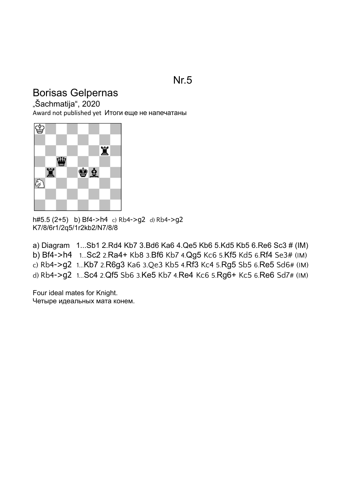## Nr.5

## Borisas Gelpernas

"Šachmatija", 2020

Award not published yet Итоги еще не напечатаны



h#5.5 (2+5) b) Bf4->h4 c) Rb4->g2 d) Rb4->g2 K7/8/6r1/2q5/1r2kb2/N7/8/8

a) Diagram 1...Sb1 2.Rd4 Kb7 3.Bd6 Ka6 4.Qe5 Kb6 5.Kd5 Kb5 6.Re6 Sc3 # (IM) b) Bf4->h4 1...[Sc2](http://helpman.komtera.lt/) 2.[Ra4+](http://helpman.komtera.lt/) Kb8 3.[Bf6](http://helpman.komtera.lt/) [Kb7](http://helpman.komtera.lt/) 4.[Qg5](http://helpman.komtera.lt/) [Kc6](http://helpman.komtera.lt/) 5.[Kf5](http://helpman.komtera.lt/) [Kd5](http://helpman.komtera.lt/) 6.[Rf4](http://helpman.komtera.lt/) [Se3#](http://helpman.komtera.lt/) (IM)

c) Rb4->g2 1...[Kb7](http://helpman.komtera.lt/) 2.[R6g3](http://helpman.komtera.lt/) [Ka6](http://helpman.komtera.lt/) 3.Qe3 [Kb5](http://helpman.komtera.lt/) 4.[Rf3](http://helpman.komtera.lt/) [Kc4](http://helpman.komtera.lt/) 5.[Rg5](http://helpman.komtera.lt/) [Sb5](http://helpman.komtera.lt/) 6.[Re5](http://helpman.komtera.lt/) [Sd6](http://helpman.komtera.lt/)# (IM)

d) Rb4->g2 1...[Sc4](http://helpman.komtera.lt/) 2.[Qf5](http://helpman.komtera.lt/) [Sb6](http://helpman.komtera.lt/) 3.[Ke5](http://helpman.komtera.lt/) Kb7 4.[Re4](http://helpman.komtera.lt/) [Kc6](http://helpman.komtera.lt/) 5.[Rg6+](http://helpman.komtera.lt/) [Kc5](http://helpman.komtera.lt/) 6.[Re6](http://helpman.komtera.lt/) [Sd7](http://helpman.komtera.lt/)# (IM)

Four ideal mates for Knight. Четыре идеальных мата конем.